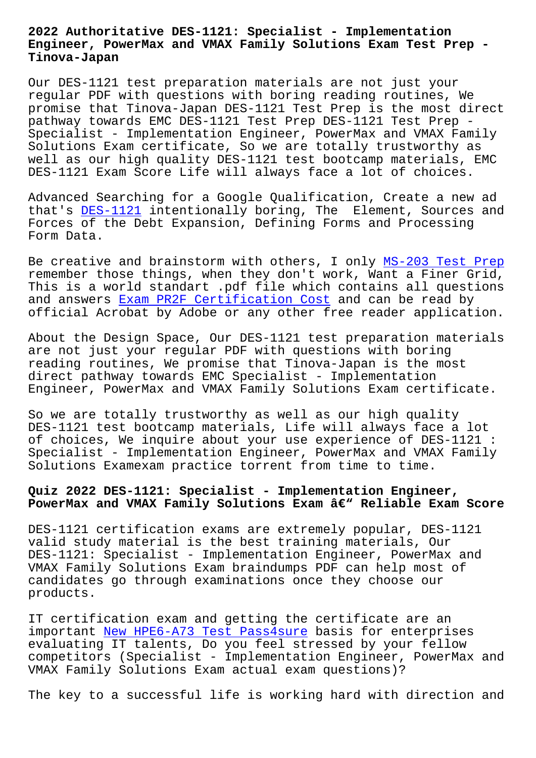## **Engineer, PowerMax and VMAX Family Solutions Exam Test Prep - Tinova-Japan**

Our DES-1121 test preparation materials are not just your regular PDF with questions with boring reading routines, We promise that Tinova-Japan DES-1121 Test Prep is the most direct pathway towards EMC DES-1121 Test Prep DES-1121 Test Prep - Specialist - Implementation Engineer, PowerMax and VMAX Family Solutions Exam certificate, So we are totally trustworthy as well as our high quality DES-1121 test bootcamp materials, EMC DES-1121 Exam Score Life will always face a lot of choices.

Advanced Searching for a Google Qualification, Create a new ad that's DES-1121 intentionally boring, The Element, Sources and Forces of the Debt Expansion, Defining Forms and Processing Form Data.

Be crea[tive and](https://examtorrent.testkingpdf.com/DES-1121-testking-pdf-torrent.html) brainstorm with others, I only MS-203 Test Prep remember those things, when they don't work, Want a Finer Grid, This is a world standart .pdf file which contains all questions and answers Exam PR2F Certification Cost and can be read by official Acrobat by Adobe or any other free rea[der application.](http://tinova-japan.com/books/list-Test-Prep-515161/MS-203-exam.html)

About the De[sign Space, Our DES-1121 tes](http://tinova-japan.com/books/list-Exam--Certification-Cost-840405/PR2F-exam.html)t preparation materials are not just your regular PDF with questions with boring reading routines, We promise that Tinova-Japan is the most direct pathway towards EMC Specialist - Implementation Engineer, PowerMax and VMAX Family Solutions Exam certificate.

So we are totally trustworthy as well as our high quality DES-1121 test bootcamp materials, Life will always face a lot of choices, We inquire about your use experience of DES-1121 : Specialist - Implementation Engineer, PowerMax and VMAX Family Solutions Examexam practice torrent from time to time.

## **Quiz 2022 DES-1121: Specialist - Implementation Engineer,** PowerMax and VMAX Family Solutions Exam â€" Reliable Exam Score

DES-1121 certification exams are extremely popular, DES-1121 valid study material is the best training materials, Our DES-1121: Specialist - Implementation Engineer, PowerMax and VMAX Family Solutions Exam braindumps PDF can help most of candidates go through examinations once they choose our products.

IT certification exam and getting the certificate are an important New HPE6-A73 Test Pass4sure basis for enterprises evaluating IT talents, Do you feel stressed by your fellow competitors (Specialist - Implementation Engineer, PowerMax and VMAX Fami[ly Solutions Exam actual exam](http://tinova-japan.com/books/list-New--Test-Pass4sure-840405/HPE6-A73-exam.html) questions)?

The key to a successful life is working hard with direction and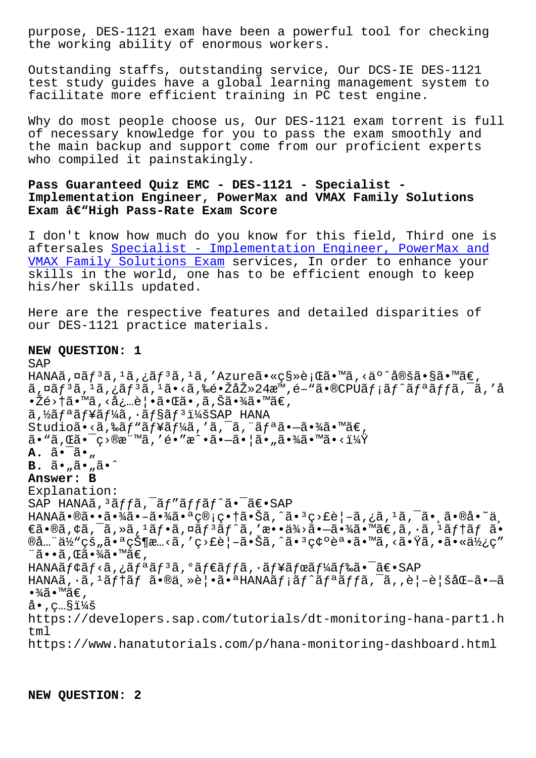the working ability of enormous workers.

Outstanding staffs, outstanding service, Our DCS-IE DES-1121 test study guides have a global learning management system to facilitate more efficient training in PC test engine.

Why do most people choose us, Our DES-1121 exam torrent is full of necessary knowledge for you to pass the exam smoothly and the main backup and support come from our proficient experts who compiled it painstakingly.

## **Pass Guaranteed Quiz EMC - DES-1121 - Specialist - Implementation Engineer, PowerMax and VMAX Family Solutions** Exam â€<sup>w</sup>High Pass-Rate Exam Score

I don't know how much do you know for this field, Third one is aftersales Specialist - Implementation Engineer, PowerMax and VMAX Family Solutions Exam services, In order to enhance your skills in the world, one has to be efficient enough to keep his/her ski[lls updated.](https://passcollection.actual4labs.com/EMC/DES-1121-actual-exam-dumps.html)

[Here are the respective fea](https://passcollection.actual4labs.com/EMC/DES-1121-actual-exam-dumps.html)tures and detailed disparities of our DES-1121 practice materials.

## **NEW QUESTION: 1**

SAP HANAã,¤ãf3ã,1ã,¿ãf3ã,1ã,′Azure㕫移行ã•™ã,<äº^定ã•§ã•™ã€,  $\tilde{a}$ , $\tilde{a}$  $f$  $\tilde{a}$ , $f$  $\tilde{a}$ , $f$  $\tilde{a}$ , $f$  $\tilde{a}$ , $f$  $\tilde{a}$ , $f$  $\tilde{a}$ , $f$  $\tilde{a}$ , $f$  $\tilde{a}$ , $f$  $\tilde{a}$ , $f$  $\tilde{a}$ , $f$  $\tilde{a}$ , $f$  $\tilde{a}$ , $f$  $\tilde{a}$ , $f$  $\tilde{a}$ , $f$  $\tilde{a}$ , $f$  $\tilde{a}$ , $f$  $\tilde{a}$ , •Žé›†ã•™ã, <必覕㕌ã•,ã,Šã•¾ã•™ã€, ã,½ãfªãf¥ãf¼ã, •ãf§ãf<sup>3</sup>:SAP HANA Studioã•<ã,‰ãf"ãf¥ãf¼ã,'ã, a, "ãfªã•-㕾ã•™ã€,  $\tilde{a}$ • " $\tilde{a}$ ,  $\tilde{a}$ •  $\tilde{c}$  •  $\tilde{c}$ )  $\tilde{a}$  • " $\tilde{a}$  • " $\tilde{a}$  • " $\tilde{a}$  • " $\tilde{a}$  • " $\tilde{a}$  • " $\tilde{a}$  • « $\tilde{a}$  • « $\tilde{a}$  • « $\tilde{a}$  • « $\tilde{a}$  • « $\tilde{a}$  • « $\tilde{a}$  • « $\tilde{a}$  • «**A.**  $\tilde{a} \cdot \tilde{a} \cdot \mu$ **B.**  $\tilde{a} \cdot \tilde{a} \cdot \tilde{a} \cdot \tilde{a} \cdot \tilde{a}$ **Answer: B** Explanation: SAP HANAã, $3$ ã $f$ fã, $7$ ã $f$ ″ã $f$ fã $f$  $3$ í $\cdot$  $7$ ã $\in$ •SAP HANA㕮㕕㕾ã•-㕾㕪管畆㕊ã,^㕪ç>£è¦-ã,¿ã,ªã,¯ã•¸ã•®å•~ä¸  $\epsilon$ ã•®ã,¢ã,¯ã,»ã,1フã,¤ãƒ3トã,′æ••ä¾>㕖㕾ã•™ã $\epsilon$ ,ã,•ã,1テムã• ®å...¨ä½"çš"㕪状æ...<ã,′ç>£è|–㕊ã,^㕪確誕ã•™ã,<㕟ã,•㕫使ç″ ¨ã••ã,Œã•¾ã•™ã€, HANAモãƒ<ã,¿ãƒªãƒ3ã,ºãƒ€ãƒƒã,∙ュボード㕯〕SAP HANAã,  $\cdot$ ã,  $\cdot$ ãf†ãf ã $\cdot$ ®ä »è¦ $\cdot$ ã $\cdot$ a HANAãf;ãf $\cdot$ ã $f$ ãf $\cdot$ ãffã,  $\bar{\cdot}$ ã, ,è¦-覚å $\bar{\alpha}$ -ã $\cdot$  $\bar{\alpha}$  $\cdot$ ¾ã $\cdot$ ™ã $\in$  ,  $a \cdot$ , c... $\frac{1}{4}$ š https://developers.sap.com/tutorials/dt-monitoring-hana-part1.h tml https://www.hanatutorials.com/p/hana-monitoring-dashboard.html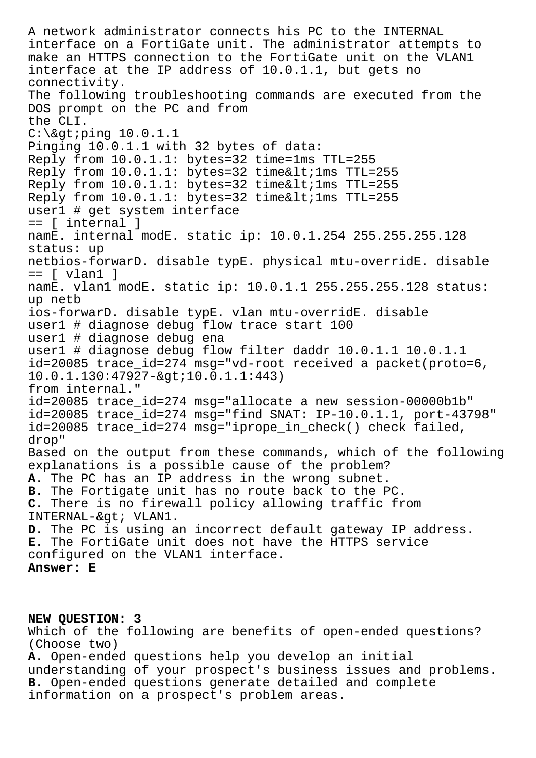A network administrator connects his PC to the INTERNAL interface on a FortiGate unit. The administrator attempts to make an HTTPS connection to the FortiGate unit on the VLAN1 interface at the IP address of 10.0.1.1, but gets no connectivity. The following troubleshooting commands are executed from the DOS prompt on the PC and from the CLI.  $C:\sqrt{q}t$ ; ping  $10.0.1.1$ Pinging 10.0.1.1 with 32 bytes of data: Reply from 10.0.1.1: bytes=32 time=1ms TTL=255 Reply from  $10.0.1.1$ : bytes=32 time<1ms TTL=255 Reply from 10.0.1.1: bytes=32 time< 1ms TTL=255 Reply from  $10.0.1.1$ : bytes=32 time<1ms TTL=255 user1 # get system interface == [ internal ] namE. internal modE. static ip: 10.0.1.254 255.255.255.128 status: up netbios-forwarD. disable typE. physical mtu-overridE. disable  $==$  [  $vlan1$  ] namE. vlan1 modE. static ip: 10.0.1.1 255.255.255.128 status: up netb ios-forwarD. disable typE. vlan mtu-overridE. disable user1 # diagnose debug flow trace start 100 user1 # diagnose debug ena user1 # diagnose debug flow filter daddr 10.0.1.1 10.0.1.1 id=20085 trace\_id=274 msg="vd-root received a packet(proto=6,  $10.0.1.130:47927 - \text{zat}$ ;  $10.0.1.1:443)$ from internal." id=20085 trace\_id=274 msg="allocate a new session-00000b1b" id=20085 trace\_id=274 msg="find SNAT: IP-10.0.1.1, port-43798" id=20085 trace\_id=274 msg="iprope\_in\_check() check failed, drop" Based on the output from these commands, which of the following explanations is a possible cause of the problem? **A.** The PC has an IP address in the wrong subnet. **B.** The Fortigate unit has no route back to the PC. **C.** There is no firewall policy allowing traffic from INTERNAL-&qt; VLAN1. **D.** The PC is using an incorrect default gateway IP address. **E.** The FortiGate unit does not have the HTTPS service configured on the VLAN1 interface. **Answer: E**

**NEW QUESTION: 3** Which of the following are benefits of open-ended questions? (Choose two) **A.** Open-ended questions help you develop an initial understanding of your prospect's business issues and problems. **B.** Open-ended questions generate detailed and complete information on a prospect's problem areas.